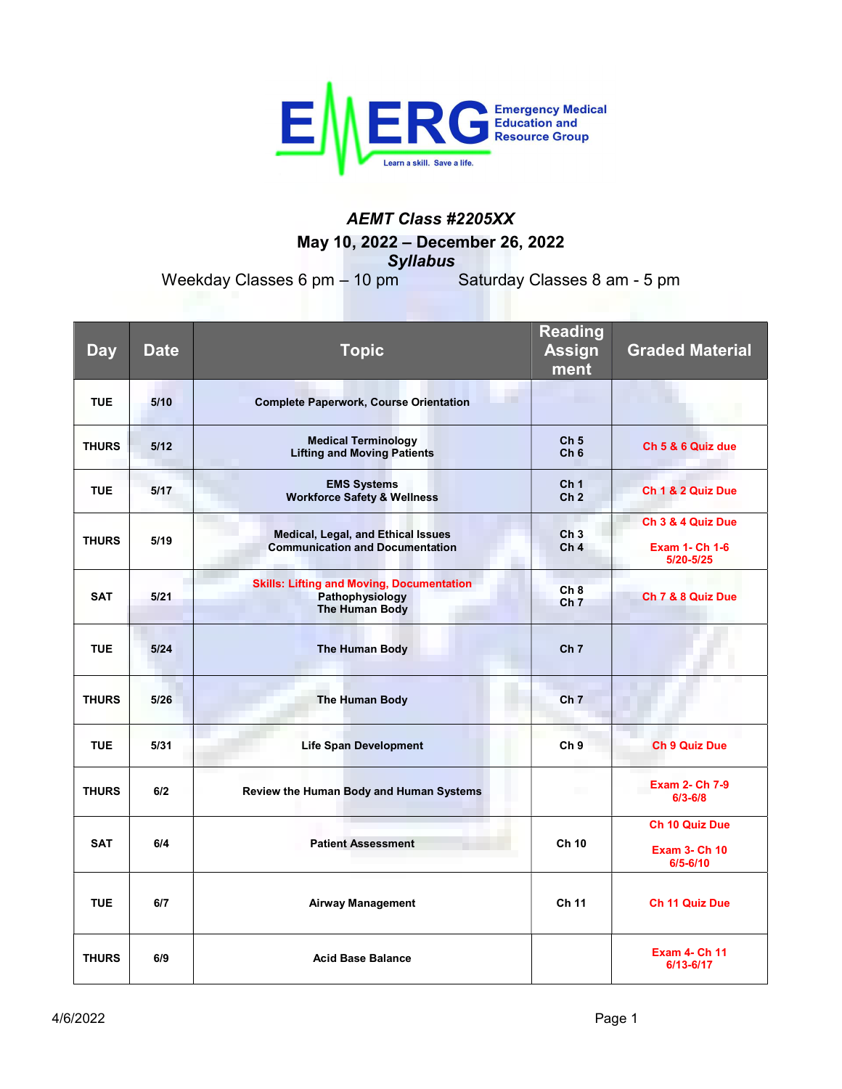

## AEMT Class #2205XX May 10, 2022 – December 26, 2022 **Syllabus**<br>m Saturday Classes 8 am - 5 pm

Weekday Classes 6 pm  $-$  10 pm

| <b>Day</b>   | <b>Date</b> | <b>Topic</b>                                                                                 | <b>Reading</b><br><b>Assign</b><br>ment | <b>Graded Material</b>                                        |
|--------------|-------------|----------------------------------------------------------------------------------------------|-----------------------------------------|---------------------------------------------------------------|
| <b>TUE</b>   | 5/10        | m.<br><b>Complete Paperwork, Course Orientation</b>                                          |                                         |                                                               |
| <b>THURS</b> | 5/12        | <b>Medical Terminology</b><br><b>Lifting and Moving Patients</b>                             | Ch <sub>5</sub><br>Ch <sub>6</sub>      | Ch 5 & 6 Quiz due                                             |
| <b>TUE</b>   | 5/17        | <b>EMS Systems</b><br><b>Workforce Safety &amp; Wellness</b>                                 | Ch <sub>1</sub><br>Ch <sub>2</sub>      | Ch 1 & 2 Quiz Due                                             |
| <b>THURS</b> | 5/19        | <b>Medical, Legal, and Ethical Issues</b><br><b>Communication and Documentation</b>          | Ch <sub>3</sub><br>Ch <sub>4</sub>      | Ch 3 & 4 Quiz Due<br><b>Exam 1- Ch 1-6</b><br>5/20-5/25       |
| <b>SAT</b>   | 5/21        | <b>Skills: Lifting and Moving, Documentation</b><br>Pathophysiology<br><b>The Human Body</b> | Ch8<br>Ch <sub>7</sub>                  | Ch 7 & 8 Quiz Due                                             |
| <b>TUE</b>   | 5/24        | <b>The Human Body</b>                                                                        | Ch <sub>7</sub>                         |                                                               |
| <b>THURS</b> | 5/26        | <b>The Human Body</b>                                                                        | Ch <sub>7</sub>                         |                                                               |
| <b>TUE</b>   | 5/31        | <b>Life Span Development</b>                                                                 | Ch <sub>9</sub>                         | <b>Ch 9 Quiz Due</b>                                          |
| <b>THURS</b> | 6/2         | Review the Human Body and Human Systems                                                      |                                         | Exam 2- Ch 7-9<br>$6/3 - 6/8$                                 |
| <b>SAT</b>   | 6/4         | <b>Patient Assessment</b>                                                                    | Ch 10                                   | <b>Ch 10 Quiz Due</b><br><b>Exam 3- Ch 10</b><br>$6/5 - 6/10$ |
| <b>TUE</b>   | 6/7         | <b>Airway Management</b>                                                                     | <b>Ch 11</b>                            | <b>Ch 11 Quiz Due</b>                                         |
| <b>THURS</b> | 6/9         | <b>Acid Base Balance</b>                                                                     |                                         | <b>Exam 4- Ch 11</b><br>6/13-6/17                             |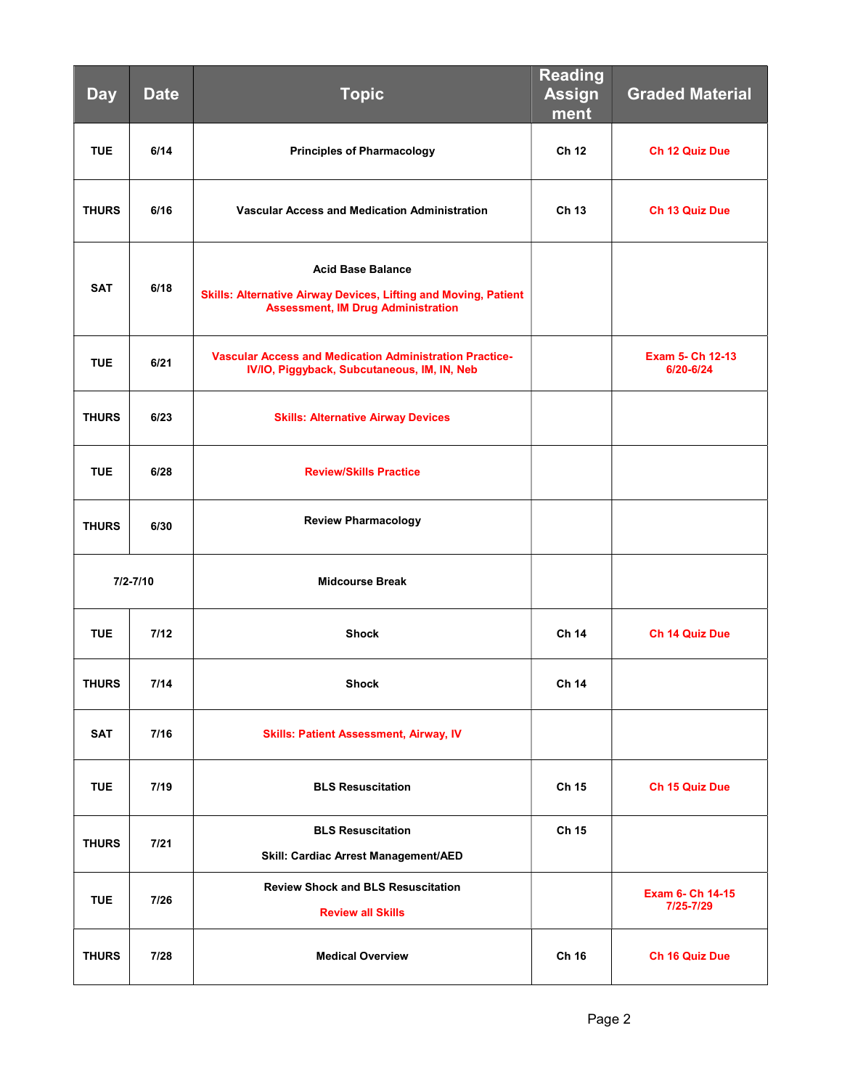| <b>Day</b>   | <b>Date</b> | <b>Topic</b>                                                                                                                                    | <b>Reading</b><br><b>Assign</b><br>ment | <b>Graded Material</b>               |
|--------------|-------------|-------------------------------------------------------------------------------------------------------------------------------------------------|-----------------------------------------|--------------------------------------|
| <b>TUE</b>   | 6/14        | <b>Principles of Pharmacology</b>                                                                                                               | Ch 12                                   | Ch 12 Quiz Due                       |
| <b>THURS</b> | 6/16        | Vascular Access and Medication Administration                                                                                                   | Ch 13                                   | Ch 13 Quiz Due                       |
| <b>SAT</b>   | 6/18        | <b>Acid Base Balance</b><br><b>Skills: Alternative Airway Devices, Lifting and Moving, Patient</b><br><b>Assessment, IM Drug Administration</b> |                                         |                                      |
| <b>TUE</b>   | 6/21        | <b>Vascular Access and Medication Administration Practice-</b><br>IV/IO, Piggyback, Subcutaneous, IM, IN, Neb                                   |                                         | <b>Exam 5- Ch 12-13</b><br>6/20-6/24 |
| <b>THURS</b> | 6/23        | <b>Skills: Alternative Airway Devices</b>                                                                                                       |                                         |                                      |
| <b>TUE</b>   | 6/28        | <b>Review/Skills Practice</b>                                                                                                                   |                                         |                                      |
| <b>THURS</b> | 6/30        | <b>Review Pharmacology</b>                                                                                                                      |                                         |                                      |
| $7/2 - 7/10$ |             | <b>Midcourse Break</b>                                                                                                                          |                                         |                                      |
| <b>TUE</b>   | 7/12        | <b>Shock</b>                                                                                                                                    | Ch 14                                   | Ch 14 Quiz Due                       |
| <b>THURS</b> | $7/14$      | <b>Shock</b>                                                                                                                                    | Ch 14                                   |                                      |
| <b>SAT</b>   | 7/16        | <b>Skills: Patient Assessment, Airway, IV</b>                                                                                                   |                                         |                                      |
| <b>TUE</b>   | 7/19        | <b>BLS Resuscitation</b>                                                                                                                        | Ch 15                                   | Ch 15 Quiz Due                       |
| <b>THURS</b> | 7/21        | <b>BLS Resuscitation</b><br>Skill: Cardiac Arrest Management/AED                                                                                | Ch 15                                   |                                      |
| <b>TUE</b>   | 7/26        | <b>Review Shock and BLS Resuscitation</b><br><b>Review all Skills</b>                                                                           |                                         | Exam 6- Ch 14-15<br>7/25-7/29        |
| <b>THURS</b> | 7/28        | <b>Medical Overview</b>                                                                                                                         | Ch 16                                   | Ch 16 Quiz Due                       |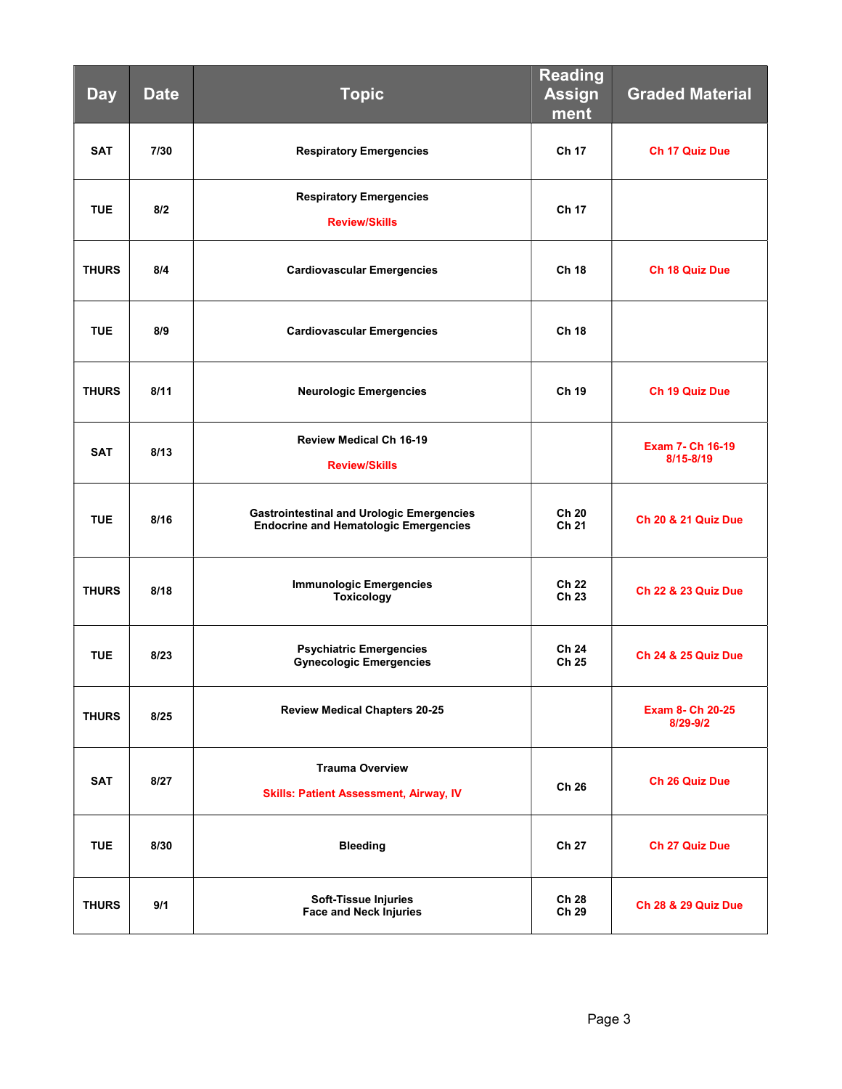| <b>Day</b>   | <b>Date</b> | <b>Topic</b>                                                                                     | <b>Reading</b><br><b>Assign</b><br>ment | <b>Graded Material</b>              |
|--------------|-------------|--------------------------------------------------------------------------------------------------|-----------------------------------------|-------------------------------------|
| <b>SAT</b>   | 7/30        | <b>Respiratory Emergencies</b>                                                                   | Ch 17                                   | Ch 17 Quiz Due                      |
| <b>TUE</b>   | 8/2         | <b>Respiratory Emergencies</b><br><b>Review/Skills</b>                                           | Ch 17                                   |                                     |
| <b>THURS</b> | 8/4         | <b>Cardiovascular Emergencies</b>                                                                | <b>Ch 18</b>                            | Ch 18 Quiz Due                      |
| <b>TUE</b>   | 8/9         | <b>Cardiovascular Emergencies</b>                                                                | <b>Ch 18</b>                            |                                     |
| <b>THURS</b> | 8/11        | <b>Neurologic Emergencies</b>                                                                    | Ch 19                                   | <b>Ch 19 Quiz Due</b>               |
| <b>SAT</b>   | 8/13        | <b>Review Medical Ch 16-19</b><br><b>Review/Skills</b>                                           |                                         | Exam 7- Ch 16-19<br>$8/15 - 8/19$   |
| <b>TUE</b>   | 8/16        | <b>Gastrointestinal and Urologic Emergencies</b><br><b>Endocrine and Hematologic Emergencies</b> | Ch 20<br>Ch 21                          | <b>Ch 20 &amp; 21 Quiz Due</b>      |
| <b>THURS</b> | 8/18        | <b>Immunologic Emergencies</b><br><b>Toxicology</b>                                              | Ch 22<br>Ch 23                          | <b>Ch 22 &amp; 23 Quiz Due</b>      |
| <b>TUE</b>   | 8/23        | <b>Psychiatric Emergencies</b><br><b>Gynecologic Emergencies</b>                                 | Ch 24<br>Ch 25                          | <b>Ch 24 &amp; 25 Quiz Due</b>      |
| <b>THURS</b> | 8/25        | <b>Review Medical Chapters 20-25</b>                                                             |                                         | <b>Exam 8- Ch 20-25</b><br>8/29-9/2 |
| <b>SAT</b>   | 8/27        | <b>Trauma Overview</b><br><b>Skills: Patient Assessment, Airway, IV</b>                          | Ch 26                                   | Ch 26 Quiz Due                      |
| <b>TUE</b>   | 8/30        | <b>Bleeding</b>                                                                                  | Ch 27                                   | <b>Ch 27 Quiz Due</b>               |
| <b>THURS</b> | 9/1         | <b>Soft-Tissue Injuries</b><br><b>Face and Neck Injuries</b>                                     | <b>Ch 28</b><br>Ch 29                   | <b>Ch 28 &amp; 29 Quiz Due</b>      |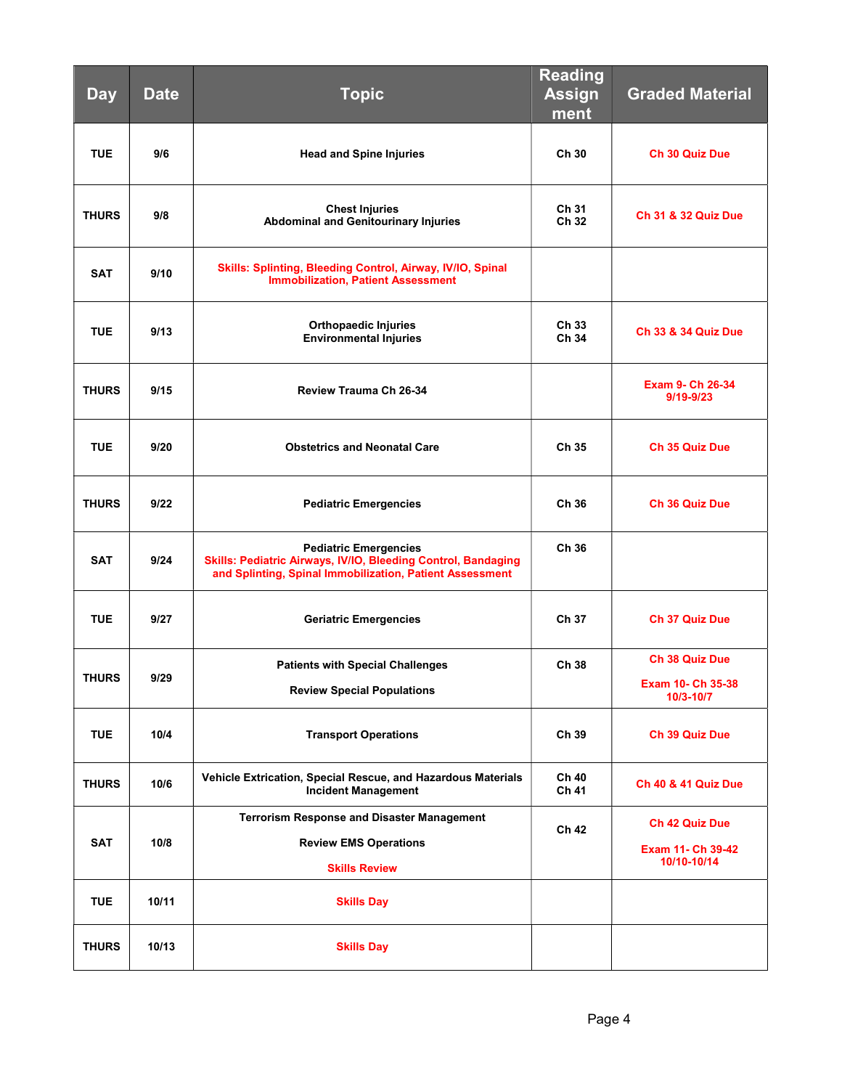| <b>Day</b>   | <b>Date</b> | <b>Topic</b>                                                                                                                                              | <b>Reading</b><br><b>Assign</b><br>ment | <b>Graded Material</b>                             |
|--------------|-------------|-----------------------------------------------------------------------------------------------------------------------------------------------------------|-----------------------------------------|----------------------------------------------------|
| <b>TUE</b>   | 9/6         | <b>Head and Spine Injuries</b>                                                                                                                            | Ch 30                                   | Ch 30 Quiz Due                                     |
| <b>THURS</b> | 9/8         | <b>Chest Injuries</b><br><b>Abdominal and Genitourinary Injuries</b>                                                                                      | Ch 31<br>Ch 32                          | <b>Ch 31 &amp; 32 Quiz Due</b>                     |
| <b>SAT</b>   | 9/10        | Skills: Splinting, Bleeding Control, Airway, IV/IO, Spinal<br><b>Immobilization, Patient Assessment</b>                                                   |                                         |                                                    |
| <b>TUE</b>   | 9/13        | <b>Orthopaedic Injuries</b><br><b>Environmental Injuries</b>                                                                                              | Ch 33<br>Ch 34                          | <b>Ch 33 &amp; 34 Quiz Due</b>                     |
| <b>THURS</b> | 9/15        | <b>Review Trauma Ch 26-34</b>                                                                                                                             |                                         | Exam 9- Ch 26-34<br>$9/19 - 9/23$                  |
| <b>TUE</b>   | 9/20        | <b>Obstetrics and Neonatal Care</b>                                                                                                                       | Ch 35                                   | <b>Ch 35 Quiz Due</b>                              |
| <b>THURS</b> | 9/22        | <b>Pediatric Emergencies</b>                                                                                                                              | Ch 36                                   | <b>Ch 36 Quiz Due</b>                              |
| <b>SAT</b>   | 9/24        | <b>Pediatric Emergencies</b><br>Skills: Pediatric Airways, IV/IO, Bleeding Control, Bandaging<br>and Splinting, Spinal Immobilization, Patient Assessment | Ch 36                                   |                                                    |
| <b>TUE</b>   | 9/27        | <b>Geriatric Emergencies</b>                                                                                                                              | Ch 37                                   | <b>Ch 37 Quiz Due</b>                              |
| <b>THURS</b> | 9/29        | <b>Patients with Special Challenges</b><br><b>Review Special Populations</b>                                                                              | Ch 38                                   | Ch 38 Quiz Due<br>Exam 10- Ch 35-38<br>10/3-10/7   |
| <b>TUE</b>   | 10/4        | <b>Transport Operations</b>                                                                                                                               | Ch 39                                   | <b>Ch 39 Quiz Due</b>                              |
| <b>THURS</b> | 10/6        | Vehicle Extrication, Special Rescue, and Hazardous Materials<br><b>Incident Management</b>                                                                | Ch 40<br>Ch 41                          | <b>Ch 40 &amp; 41 Quiz Due</b>                     |
| <b>SAT</b>   | 10/8        | <b>Terrorism Response and Disaster Management</b><br><b>Review EMS Operations</b><br><b>Skills Review</b>                                                 | Ch 42                                   | Ch 42 Quiz Due<br>Exam 11- Ch 39-42<br>10/10-10/14 |
| <b>TUE</b>   | 10/11       | <b>Skills Day</b>                                                                                                                                         |                                         |                                                    |
| <b>THURS</b> | 10/13       | <b>Skills Day</b>                                                                                                                                         |                                         |                                                    |